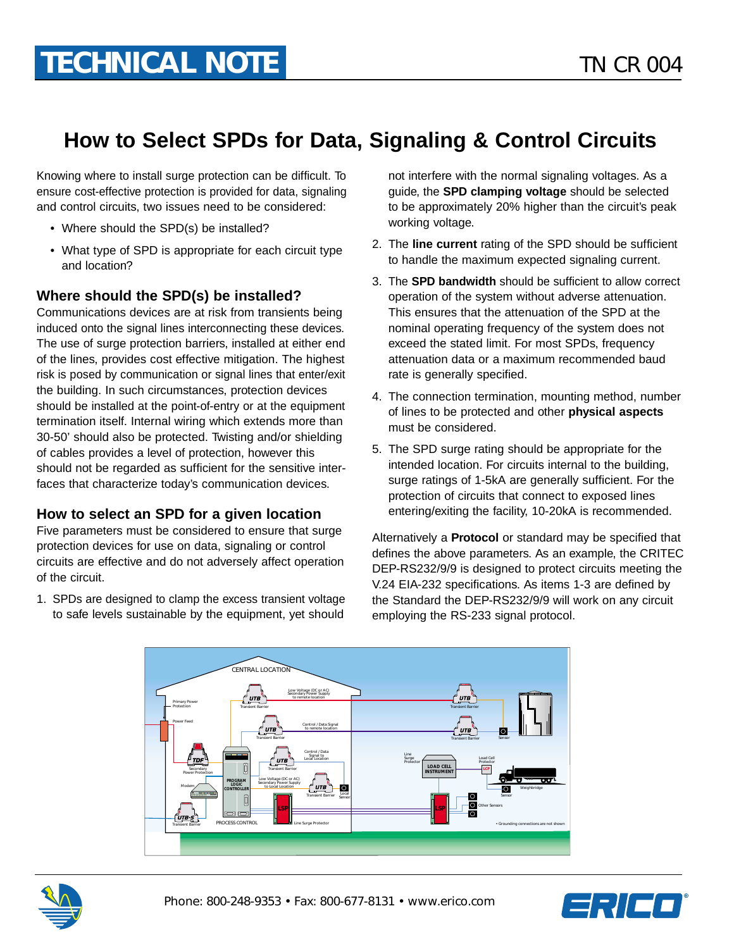## **How to Select SPDs for Data, Signaling & Control Circuits**

Knowing where to install surge protection can be difficult. To ensure cost-effective protection is provided for data, signaling and control circuits, two issues need to be considered:

- Where should the SPD(s) be installed?
- What type of SPD is appropriate for each circuit type and location?

## **Where should the SPD(s) be installed?**

Communications devices are at risk from transients being induced onto the signal lines interconnecting these devices. The use of surge protection barriers, installed at either end of the lines, provides cost effective mitigation. The highest risk is posed by communication or signal lines that enter/exit the building. In such circumstances, protection devices should be installed at the point-of-entry or at the equipment termination itself. Internal wiring which extends more than 30-50' should also be protected. Twisting and/or shielding of cables provides a level of protection, however this should not be regarded as sufficient for the sensitive interfaces that characterize today's communication devices.

## **How to select an SPD for a given location**

Five parameters must be considered to ensure that surge protection devices for use on data, signaling or control circuits are effective and do not adversely affect operation of the circuit.

1. SPDs are designed to clamp the excess transient voltage to safe levels sustainable by the equipment, yet should

not interfere with the normal signaling voltages. As a guide, the **SPD clamping voltage** should be selected to be approximately 20% higher than the circuit's peak working voltage.

- 2. The **line current** rating of the SPD should be sufficient to handle the maximum expected signaling current.
- 3. The **SPD bandwidth** should be sufficient to allow correct operation of the system without adverse attenuation. This ensures that the attenuation of the SPD at the nominal operating frequency of the system does not exceed the stated limit. For most SPDs, frequency attenuation data or a maximum recommended baud rate is generally specified.
- 4. The connection termination, mounting method, number of lines to be protected and other **physical aspects** must be considered.
- 5. The SPD surge rating should be appropriate for the intended location. For circuits internal to the building, surge ratings of 1-5kA are generally sufficient. For the protection of circuits that connect to exposed lines entering/exiting the facility, 10-20kA is recommended.

Alternatively a **Protocol** or standard may be specified that defines the above parameters. As an example, the CRITEC DEP-RS232/9/9 is designed to protect circuits meeting the V.24 EIA-232 specifications. As items 1-3 are defined by the Standard the DEP-RS232/9/9 will work on any circuit employing the RS-233 signal protocol.





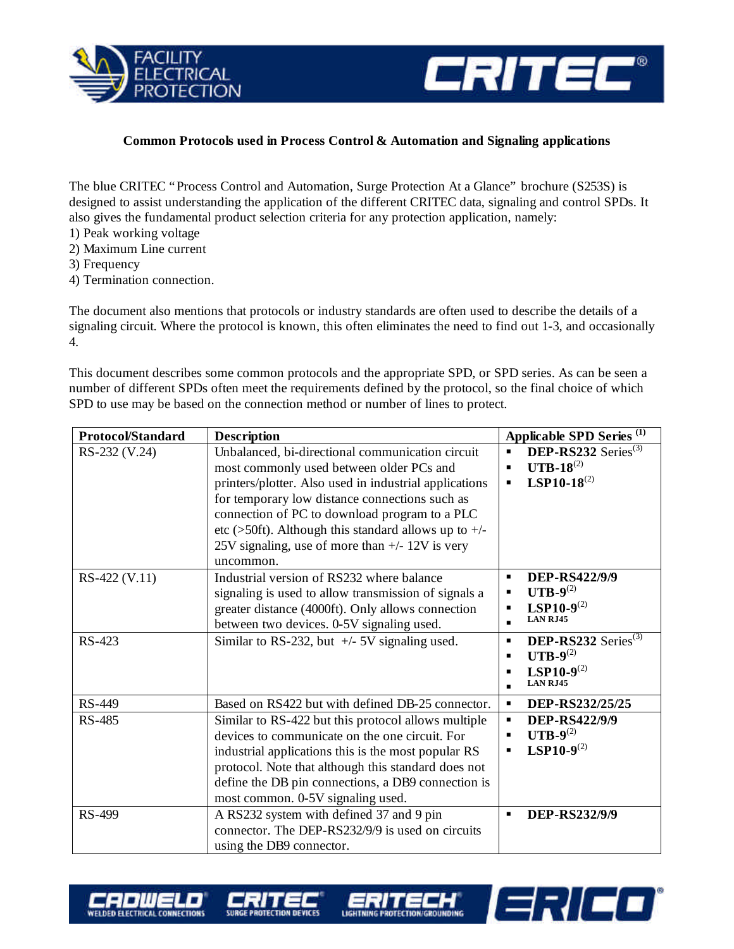



1371 **- 1** 

## **Common Protocols used in Process Control & Automation and Signaling applications**

The blue CRITEC "Process Control and Automation, Surge Protection At a Glance" brochure (S253S) is designed to assist understanding the application of the different CRITEC data, signaling and control SPDs. It also gives the fundamental product selection criteria for any protection application, namely:

- 1) Peak working voltage
- 2) Maximum Line current
- 3) Frequency
- 4) Termination connection.

secweto **WELDED ELECTRICAL CONNECTIONS** 

The document also mentions that protocols or industry standards are often used to describe the details of a signaling circuit. Where the protocol is known, this often eliminates the need to find out 1-3, and occasionally 4.

This document describes some common protocols and the appropriate SPD, or SPD series. As can be seen a number of different SPDs often meet the requirements defined by the protocol, so the final choice of which SPD to use may be based on the connection method or number of lines to protect.

| <b>Protocol/Standard</b> | <b>Description</b>                                                                                                                                                                                                                                                                                                                                                                  | Applicable SPD Series <sup>(1)</sup>                                                                                                                                                                                                                        |
|--------------------------|-------------------------------------------------------------------------------------------------------------------------------------------------------------------------------------------------------------------------------------------------------------------------------------------------------------------------------------------------------------------------------------|-------------------------------------------------------------------------------------------------------------------------------------------------------------------------------------------------------------------------------------------------------------|
| RS-232 (V.24)            | Unbalanced, bi-directional communication circuit<br>most commonly used between older PCs and<br>printers/plotter. Also used in industrial applications<br>for temporary low distance connections such as<br>connection of PC to download program to a PLC<br>etc (>50ft). Although this standard allows up to $+/-$<br>25V signaling, use of more than +/- 12V is very<br>uncommon. | DEP-RS232 Series $^{(3)}$<br>$\blacksquare$<br>$UTB-18^{(2)}$<br>$\blacksquare$<br>$LSP10-18^{(2)}$                                                                                                                                                         |
| RS-422 (V.11)<br>RS-423  | Industrial version of RS232 where balance<br>signaling is used to allow transmission of signals a<br>greater distance (4000ft). Only allows connection<br>between two devices. 0-5V signaling used.<br>Similar to RS-232, but $+/-$ 5V signaling used.                                                                                                                              | <b>DEP-RS422/9/9</b><br>$\blacksquare$<br>$UTB-9(2)$<br><b>LSP10-9</b> $^{(2)}$<br>$\blacksquare$<br><b>LAN RJ45</b><br>$\blacksquare$<br>DEP-RS232 Series $^{(3)}$<br>$\blacksquare$<br>$UTB-9(2)$<br>$LSP10-9^{(2)}$<br>$\blacksquare$<br><b>LAN RJ45</b> |
| RS-449                   | Based on RS422 but with defined DB-25 connector.                                                                                                                                                                                                                                                                                                                                    | DEP-RS232/25/25<br>٠                                                                                                                                                                                                                                        |
| <b>RS-485</b>            | Similar to RS-422 but this protocol allows multiple<br>devices to communicate on the one circuit. For<br>industrial applications this is the most popular RS<br>protocol. Note that although this standard does not<br>define the DB pin connections, a DB9 connection is<br>most common. 0-5V signaling used.                                                                      | <b>DEP-RS422/9/9</b><br>$\blacksquare$<br>$UTB-9(2)$<br>$LSP10-9^{(2)}$<br>$\blacksquare$                                                                                                                                                                   |
| RS-499                   | A RS232 system with defined 37 and 9 pin<br>connector. The DEP-RS232/9/9 is used on circuits<br>using the DB9 connector.                                                                                                                                                                                                                                                            | DEP-RS232/9/9<br>$\blacksquare$                                                                                                                                                                                                                             |

ERITECH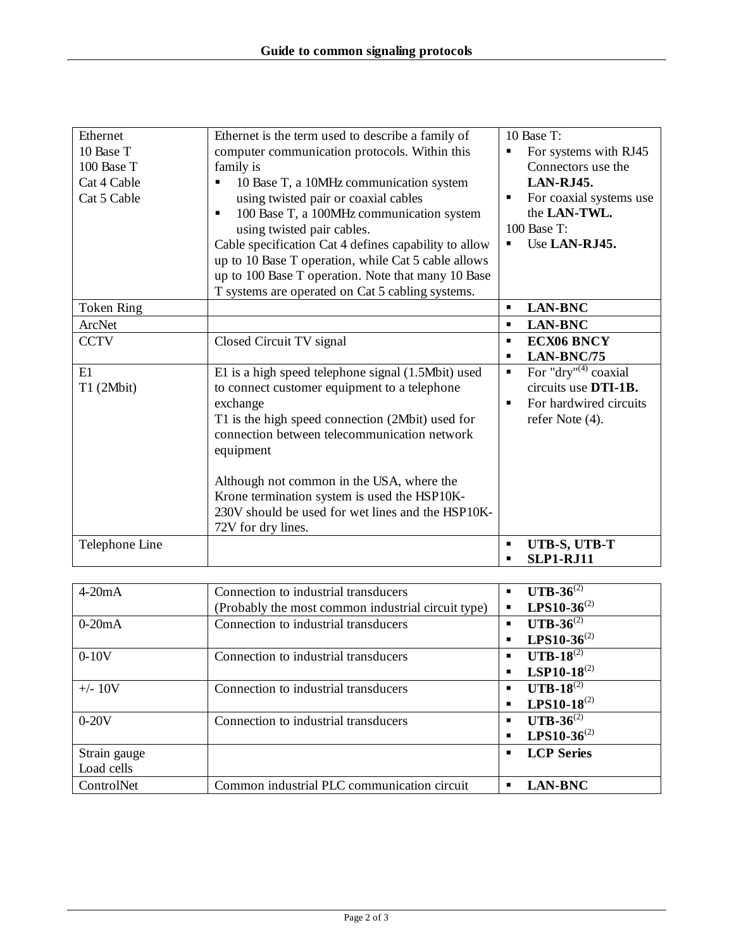| Ethernet       | Ethernet is the term used to describe a family of                                                |                              | 10 Base T:              |  |
|----------------|--------------------------------------------------------------------------------------------------|------------------------------|-------------------------|--|
| 10 Base T      | computer communication protocols. Within this                                                    |                              | For systems with RJ45   |  |
| 100 Base T     | family is                                                                                        |                              | Connectors use the      |  |
| Cat 4 Cable    | 10 Base T, a 10MHz communication system<br>$\blacksquare$                                        |                              | LAN-RJ45.               |  |
| Cat 5 Cable    | using twisted pair or coaxial cables                                                             | For coaxial systems use<br>٠ |                         |  |
|                | 100 Base T, a 100MHz communication system<br>$\blacksquare$                                      | the LAN-TWL.                 |                         |  |
|                | using twisted pair cables.                                                                       |                              | 100 Base T:             |  |
|                | Cable specification Cat 4 defines capability to allow                                            |                              | Use LAN-RJ45.           |  |
|                | up to 10 Base T operation, while Cat 5 cable allows                                              |                              |                         |  |
|                | up to 100 Base T operation. Note that many 10 Base                                               |                              |                         |  |
|                | T systems are operated on Cat 5 cabling systems.                                                 |                              |                         |  |
| Token Ring     |                                                                                                  | $\blacksquare$               | <b>LAN-BNC</b>          |  |
| ArcNet         |                                                                                                  | п                            | <b>LAN-BNC</b>          |  |
| <b>CCTV</b>    | Closed Circuit TV signal                                                                         | $\blacksquare$               | <b>ECX06 BNCY</b>       |  |
|                |                                                                                                  |                              | LAN-BNC/75              |  |
| E1             | E1 is a high speed telephone signal (1.5Mbit) used                                               | $\blacksquare$               | For "dry" $(4)$ coaxial |  |
| T1 (2Mbit)     | to connect customer equipment to a telephone                                                     |                              | circuits use DTI-1B.    |  |
|                | exchange                                                                                         |                              | For hardwired circuits  |  |
|                | T1 is the high speed connection (2Mbit) used for<br>connection between telecommunication network |                              | refer Note (4).         |  |
|                | equipment                                                                                        |                              |                         |  |
|                | Although not common in the USA, where the                                                        |                              |                         |  |
|                | Krone termination system is used the HSP10K-                                                     |                              |                         |  |
|                | 230V should be used for wet lines and the HSP10K-                                                |                              |                         |  |
|                | 72V for dry lines.                                                                               |                              |                         |  |
| Telephone Line |                                                                                                  | п                            | UTB-S, UTB-T            |  |
|                |                                                                                                  |                              | <b>SLP1-RJ11</b>        |  |
|                |                                                                                                  |                              |                         |  |

| $4-20mA$     | Connection to industrial transducers               | <b>UTB-36</b> <sup>(2)</sup><br>$\blacksquare$ |
|--------------|----------------------------------------------------|------------------------------------------------|
|              | (Probably the most common industrial circuit type) | $LPS10-36^{(2)}$<br>$\blacksquare$             |
| $0-20mA$     | Connection to industrial transducers               | <b>UTB-36</b> <sup>(2)</sup><br>$\blacksquare$ |
|              |                                                    | $LPS10-36^{(2)}$<br>$\blacksquare$             |
| $0-10V$      | Connection to industrial transducers               | $UTB-18^{(2)}$<br>$\blacksquare$               |
|              |                                                    | $LSP10-18^{(2)}$<br>$\blacksquare$             |
| $+/- 10V$    | Connection to industrial transducers               | $UTB-18^{(2)}$<br>$\blacksquare$               |
|              |                                                    | $LPS10-18^{(2)}$<br>$\blacksquare$             |
| $0-20V$      | Connection to industrial transducers               | <b>UTB-36</b> <sup>(2)</sup><br>$\blacksquare$ |
|              |                                                    | $LPS10-36^{(2)}$<br>$\blacksquare$             |
| Strain gauge |                                                    | <b>LCP</b> Series<br>п                         |
| Load cells   |                                                    |                                                |
| ControlNet   | Common industrial PLC communication circuit        | <b>LAN-BNC</b><br>■                            |